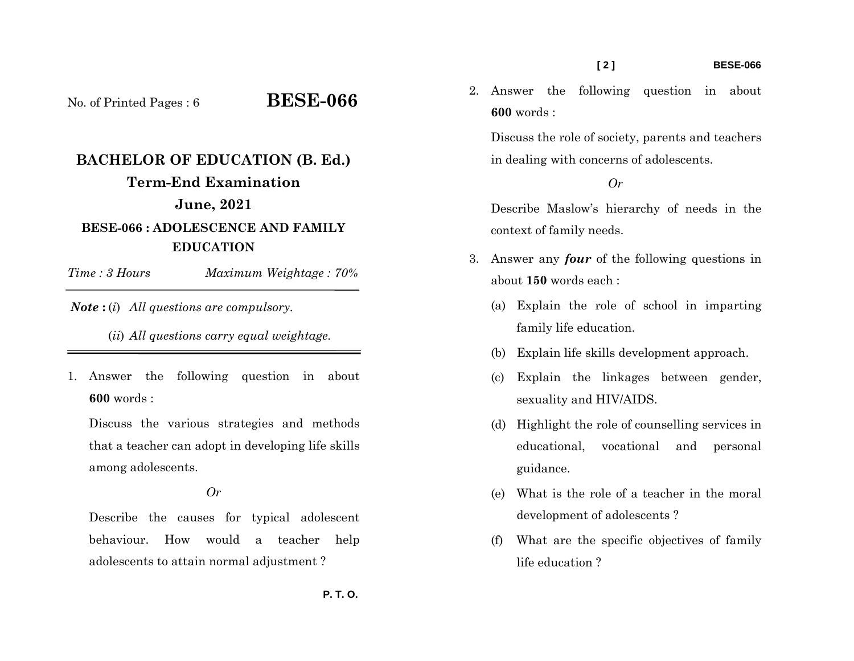#### **[ 2 ] BESE-066**

No. of Printed Pages : 6 **BESE-066**

# **BACHELOR OF EDUCATION (B. Ed.) Term-End Examination June, 2021 BESE-066 : ADOLESCENCE AND FAMILY EDUCATION**

*Time : 3 HoursMaximum Weightage : 70%* 

*Note* **:** (*i*) *All questions are compulsory.* 

(*ii*) *All questions carry equal weightage.* 

1. Answer the following question in about **600** words :

Discuss the various strategies and methods that a teacher can adopt in developing life skills among adolescents.

*Or* 

Describe the causes for typical adolescent behaviour. How would a teacher help adolescents to attain normal adjustment ?

2. Answer the following question in about **600** words :

Discuss the role of society, parents and teachers in dealing with concerns of adolescents.

### *Or*

Describe Maslow's hierarchy of needs in the context of family needs.

- 3. Answer any *four* of the following questions in about **150** words each :
	- (a) Explain the role of school in imparting family life education.
	- (b) Explain life skills development approach.
	- (c) Explain the linkages between gender, sexuality and HIV/AIDS.
	- (d) Highlight the role of counselling services in educational, vocational and personal guidance.
	- (e) What is the role of a teacher in the moral development of adolescents ?
	- (f) What are the specific objectives of family life education ?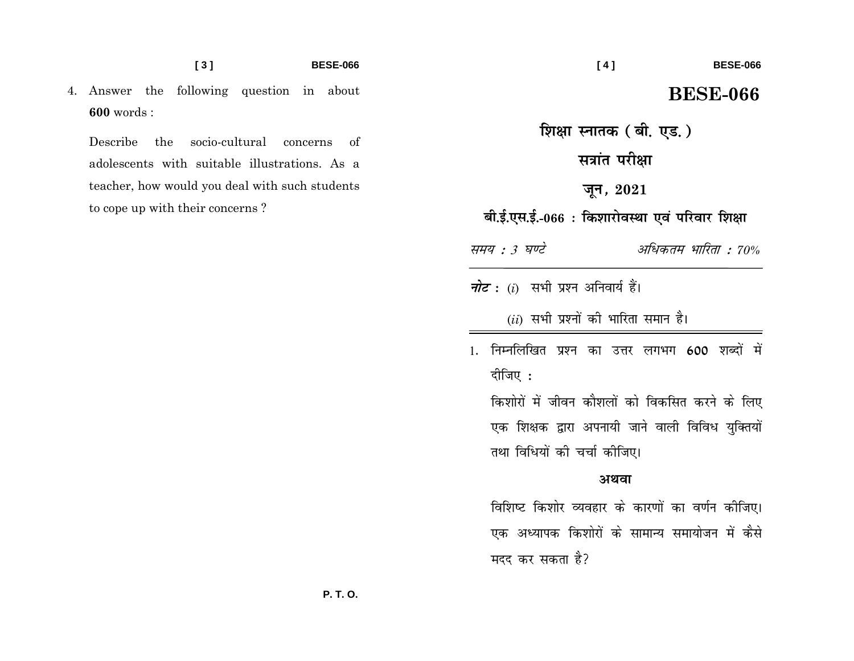**BESE-066** 

4. Answer the following question in about  $600$  words:

socio-cultural concerns **Describe** the of adolescents with suitable illustrations. As a teacher, how would you deal with such students to cope up with their concerns?

#### **BESE-066**

## **BESE-066**

शिक्षा स्नातक (बी. एड. ) सत्रांत परीक्षा जून, 2021 बी.ई.एस.ई.-066 : किशारोवस्था एवं परिवार शिक्षा समय : 3 घण्टे अधिकतम भारिता : 70% *नोट*: (i) सभी प्रश्न अनिवार्य हैं।  $(ii)$  सभी प्रश्नों की भारिता समान है। 1. निम्नलिखित प्रश्न का उत्तर लगभग 600 शब्दों में दीजिए : किशोरों में जीवन कौशलों को विकसित करने के लिए एक शिक्षक द्वारा अपनायी जाने वाली विविध युक्तियों तथा विधियों की चर्चा कीजिए।

#### अथवा

विशिष्ट किशोर व्यवहार के कारणों का वर्णन कीजिए। एक अध्यापक किशोरों के सामान्य समायोजन में कैसे मदद कर सकता है?